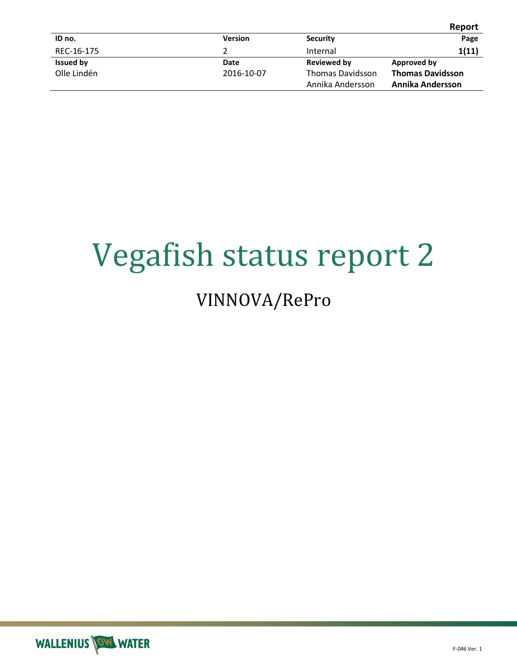|                  |                |                  | Report                  |
|------------------|----------------|------------------|-------------------------|
| ID no.           | <b>Version</b> | <b>Security</b>  | Page                    |
| REC-16-175       |                | Internal         | 1(11)                   |
| <b>Issued by</b> | Date           | Reviewed by      | Approved by             |
| Olle Lindén      | 2016-10-07     | Thomas Davidsson | <b>Thomas Davidsson</b> |
|                  |                | Annika Andersson | Annika Andersson        |

# Vegafish status report 2 VINNOVA/RePro

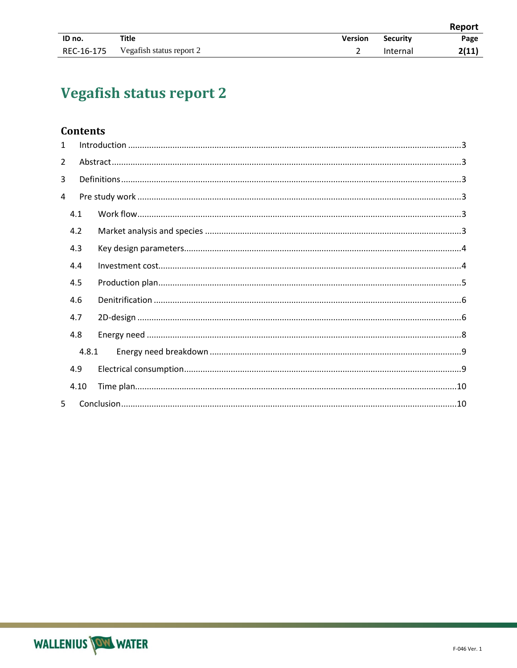|            |                          |                |                 | <b>Report</b> |
|------------|--------------------------|----------------|-----------------|---------------|
| ID no.     | Title                    | <b>Version</b> | <b>Security</b> | Page          |
| REC-16-175 | Vegafish status report 2 |                | Internal        | 2(11)         |

## **Vegafish status report 2**

### **Contents**

| $\mathbf{1}$   |       |  |
|----------------|-------|--|
| $\overline{2}$ |       |  |
| 3              |       |  |
| 4              |       |  |
|                | 4.1   |  |
|                | 4.2   |  |
|                | 4.3   |  |
|                | 4.4   |  |
|                | 4.5   |  |
|                | 4.6   |  |
|                | 4.7   |  |
|                | 4.8   |  |
|                | 4.8.1 |  |
|                | 4.9   |  |
|                | 4.10  |  |
| 5              |       |  |

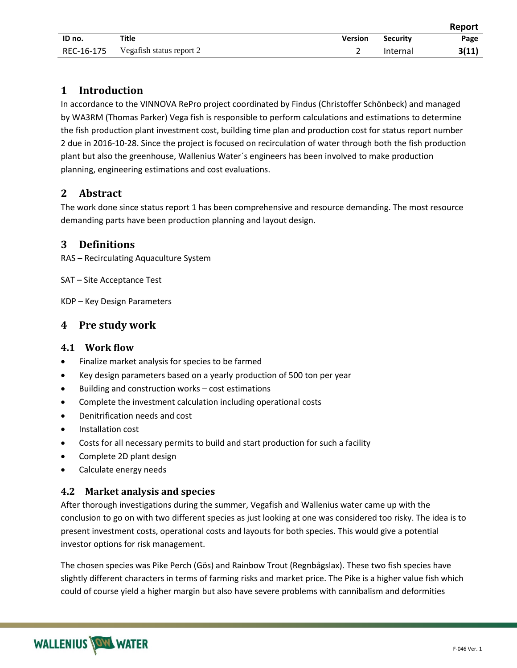|            |                          |                |          | Report |
|------------|--------------------------|----------------|----------|--------|
| ID no.     | Title                    | <b>Version</b> | Security | Page   |
| REC-16-175 | Vegafish status report 2 |                | Internal | 3(11)  |

#### <span id="page-2-0"></span>**1 Introduction**

In accordance to the VINNOVA RePro project coordinated by Findus (Christoffer Schönbeck) and managed by WA3RM (Thomas Parker) Vega fish is responsible to perform calculations and estimations to determine the fish production plant investment cost, building time plan and production cost for status report number 2 due in 2016-10-28. Since the project is focused on recirculation of water through both the fish production plant but also the greenhouse, Wallenius Water´s engineers has been involved to make production planning, engineering estimations and cost evaluations.

#### <span id="page-2-1"></span>**2 Abstract**

The work done since status report 1 has been comprehensive and resource demanding. The most resource demanding parts have been production planning and layout design.

#### <span id="page-2-2"></span>**3 Definitions**

RAS – Recirculating Aquaculture System

SAT – Site Acceptance Test

KDP – Key Design Parameters

#### <span id="page-2-3"></span>**4 Pre study work**

#### <span id="page-2-4"></span>**4.1 Work flow**

- Finalize market analysis for species to be farmed
- Key design parameters based on a yearly production of 500 ton per year
- Building and construction works cost estimations
- Complete the investment calculation including operational costs
- Denitrification needs and cost
- Installation cost
- Costs for all necessary permits to build and start production for such a facility
- Complete 2D plant design
- Calculate energy needs

#### <span id="page-2-5"></span>**4.2 Market analysis and species**

After thorough investigations during the summer, Vegafish and Wallenius water came up with the conclusion to go on with two different species as just looking at one was considered too risky. The idea is to present investment costs, operational costs and layouts for both species. This would give a potential investor options for risk management.

The chosen species was Pike Perch (Gös) and Rainbow Trout (Regnbågslax). These two fish species have slightly different characters in terms of farming risks and market price. The Pike is a higher value fish which could of course yield a higher margin but also have severe problems with cannibalism and deformities

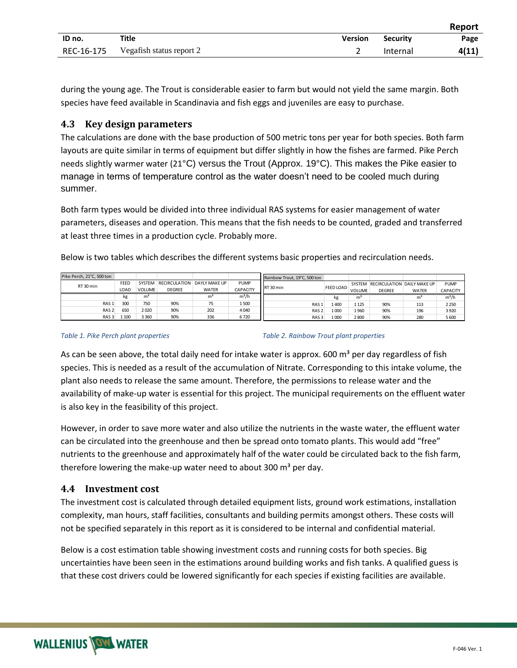|            |                          |                |                 | Report |
|------------|--------------------------|----------------|-----------------|--------|
| ID no.     | Title                    | <b>Version</b> | <b>Security</b> | Page   |
| REC-16-175 | Vegafish status report 2 | -              | Internal        | 4(11)  |

during the young age. The Trout is considerable easier to farm but would not yield the same margin. Both species have feed available in Scandinavia and fish eggs and juveniles are easy to purchase.

#### <span id="page-3-0"></span>**4.3 Key design parameters**

The calculations are done with the base production of 500 metric tons per year for both species. Both farm layouts are quite similar in terms of equipment but differ slightly in how the fishes are farmed. Pike Perch needs slightly warmer water (21°C) versus the Trout (Approx. 19°C). This makes the Pike easier to manage in terms of temperature control as the water doesn't need to be cooled much during summer.

Both farm types would be divided into three individual RAS systems for easier management of water parameters, diseases and operation. This means that the fish needs to be counted, graded and transferred at least three times in a production cycle. Probably more.

Below is two tables which describes the different systems basic properties and recirculation needs.

| Pike Perch, 21°C, 500 ton |       |               |                      |                |             | Rainbow Trout, 19°C, 500 ton |                  |                |                                    |                |                 |
|---------------------------|-------|---------------|----------------------|----------------|-------------|------------------------------|------------------|----------------|------------------------------------|----------------|-----------------|
| RT 30 min                 | FEED  | SYSTEM        | <b>RECIRCULATION</b> | DAYLY MAKE UP  | <b>PUMP</b> |                              |                  | <b>SYSTEM</b>  | <b>RECIRCULATION DAILY MAKE UP</b> |                | <b>PUMP</b>     |
|                           | LOAD  | <b>VOLUME</b> | <b>DEGREE</b>        | <b>WATER</b>   | CAPACITY    | RT 30 min                    | <b>FEED LOAD</b> | <b>VOLUME</b>  | <b>DEGREE</b>                      | WATER          | <b>CAPACITY</b> |
|                           | kg    | m             |                      | m <sup>3</sup> | $m^3/h$     |                              |                  | m <sup>3</sup> |                                    | m <sup>3</sup> | $m^3/h$         |
| RAS <sub>1</sub>          | 300   | 750           | 90%                  | 75             | 1500        | RAS <sub>1</sub>             | 1400             | 1 1 2 5        | 90%                                | 113            | 2 2 5 0         |
| RAS <sub>2</sub>          | 650   | 2020          | 90%                  | 202            | 4040        | RAS <sub>2</sub>             | 1000             | 1960           | 90%                                | 196            | 3920            |
| RAS <sub>3</sub>          | 1 100 | 3 3 6 0       | 90%                  | 336            | 6720        | RAS <sub>3</sub>             | 1000             | 2800           | 90%                                | 280            | 5 600           |

*Table 1. Pike Perch plant properties Table 2. Rainbow Trout plant properties*

As can be seen above, the total daily need for intake water is approx. 600  $m<sup>3</sup>$  per day regardless of fish species. This is needed as a result of the accumulation of Nitrate. Corresponding to this intake volume, the plant also needs to release the same amount. Therefore, the permissions to release water and the availability of make-up water is essential for this project. The municipal requirements on the effluent water is also key in the feasibility of this project.

However, in order to save more water and also utilize the nutrients in the waste water, the effluent water can be circulated into the greenhouse and then be spread onto tomato plants. This would add "free" nutrients to the greenhouse and approximately half of the water could be circulated back to the fish farm, therefore lowering the make-up water need to about 300  $m<sup>3</sup>$  per day.

#### <span id="page-3-1"></span>**4.4 Investment cost**

The investment cost is calculated through detailed equipment lists, ground work estimations, installation complexity, man hours, staff facilities, consultants and building permits amongst others. These costs will not be specified separately in this report as it is considered to be internal and confidential material.

Below is a cost estimation table showing investment costs and running costs for both species. Big uncertainties have been seen in the estimations around building works and fish tanks. A qualified guess is that these cost drivers could be lowered significantly for each species if existing facilities are available.

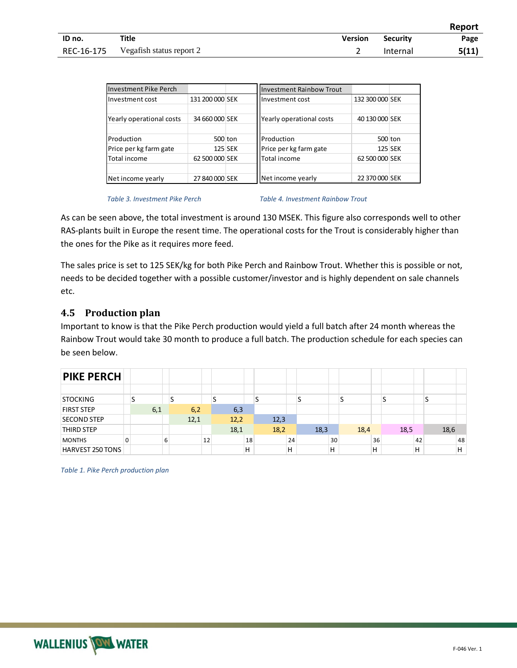|            |                          |                |          | Report |
|------------|--------------------------|----------------|----------|--------|
| ID no.     | Title                    | <b>Version</b> | Security | Page   |
| REC-16-175 | Vegafish status report 2 |                | Internal | 5(11)  |

| Investment Pike Perch    |                 |                | <b>Investment Rainbow Trout</b> |                 |  |
|--------------------------|-----------------|----------------|---------------------------------|-----------------|--|
| Investment cost          | 131 200 000 SEK |                | Investment cost                 | 132 300 000 SEK |  |
| Yearly operational costs | 34 660 000 SEK  |                | Yearly operational costs        | 40 130 000 SEK  |  |
| Production               |                 | 500 ton        | Production                      | $500$ ton       |  |
| Price per kg farm gate   |                 | <b>125 SEK</b> | Price per kg farm gate          | <b>125 SEK</b>  |  |
| Total income             | 62 500 000 SEK  |                | Total income                    | 62 500 000 SEK  |  |
| Net income yearly        | 27 840 000 SEK  |                | Net income yearly               | 22 370 000 SEK  |  |

 *Table 3. Investment Pike Perch Table 4. Investment Rainbow Trout*

As can be seen above, the total investment is around 130 MSEK. This figure also corresponds well to other RAS-plants built in Europe the resent time. The operational costs for the Trout is considerably higher than the ones for the Pike as it requires more feed.

The sales price is set to 125 SEK/kg for both Pike Perch and Rainbow Trout. Whether this is possible or not, needs to be decided together with a possible customer/investor and is highly dependent on sale channels etc.

#### <span id="page-4-0"></span>**4.5 Production plan**

Important to know is that the Pike Perch production would yield a full batch after 24 month whereas the Rainbow Trout would take 30 month to produce a full batch. The production schedule for each species can be seen below.

| <b>PIKE PERCH</b>       |   |     |   |      |    |      |    |      |    |      |    |      |    |      |    |      |    |
|-------------------------|---|-----|---|------|----|------|----|------|----|------|----|------|----|------|----|------|----|
|                         |   |     |   |      |    |      |    |      |    |      |    |      |    |      |    |      |    |
| <b>STOCKING</b>         |   | S   |   | S    |    |      |    |      |    |      |    |      |    |      |    |      |    |
| <b>FIRST STEP</b>       |   | 6,1 |   | 6,2  |    | 6,3  |    |      |    |      |    |      |    |      |    |      |    |
| <b>SECOND STEP</b>      |   |     |   | 12,1 |    | 12,2 |    | 12,3 |    |      |    |      |    |      |    |      |    |
| THIRD STEP              |   |     |   |      |    | 18,1 |    | 18,2 |    | 18,3 |    | 18,4 |    | 18,5 |    | 18,6 |    |
| <b>MONTHS</b>           | 0 |     | 6 |      | 12 |      | 18 |      | 24 |      | 30 |      | 36 |      | 42 |      | 48 |
| <b>HARVEST 250 TONS</b> |   |     |   |      |    |      | H  |      | н  |      | H  |      | н  |      | н  |      | н  |

*Table 1. Pike Perch production plan*

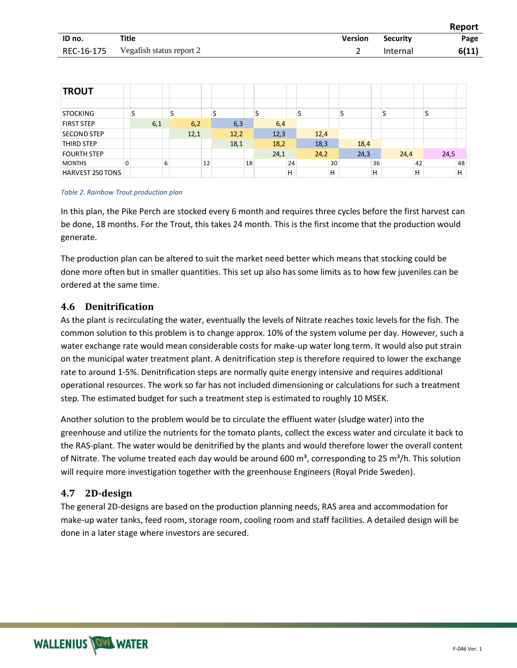|            |                          |         |                 | Report |
|------------|--------------------------|---------|-----------------|--------|
| ID no.     | Title                    | Version | <b>Security</b> | Page   |
| REC-16-175 | Vegafish status report 2 |         | Internal        | 6(11)  |

| <b>TROUT</b>            |              |     |   |      |    |      |    |      |    |      |    |      |    |      |    |      |    |
|-------------------------|--------------|-----|---|------|----|------|----|------|----|------|----|------|----|------|----|------|----|
|                         |              |     |   |      |    |      |    |      |    |      |    |      |    |      |    |      |    |
| <b>STOCKING</b>         |              | S   |   | S    |    | S    |    |      |    |      |    |      |    |      |    |      |    |
| <b>FIRST STEP</b>       |              | 6,1 |   | 6,2  |    | 6,3  |    | 6,4  |    |      |    |      |    |      |    |      |    |
| <b>SECOND STEP</b>      |              |     |   | 12,1 |    | 12,2 |    | 12,3 |    | 12,4 |    |      |    |      |    |      |    |
| THIRD STEP              |              |     |   |      |    | 18,1 |    | 18,2 |    | 18,3 |    | 18,4 |    |      |    |      |    |
| <b>FOURTH STEP</b>      |              |     |   |      |    |      |    | 24,1 |    | 24,2 |    | 24,3 |    | 24,4 |    | 24,5 |    |
| <b>MONTHS</b>           | $\mathbf{0}$ |     | 6 |      | 12 |      | 18 |      | 24 |      | 30 |      | 36 |      | 42 |      | 48 |
| <b>HARVEST 250 TONS</b> |              |     |   |      |    |      |    |      | H  |      | H. |      | H  |      | H  |      | н  |

#### *Table 2. Rainbow Trout production plan*

In this plan, the Pike Perch are stocked every 6 month and requires three cycles before the first harvest can be done, 18 months. For the Trout, this takes 24 month. This is the first income that the production would generate.

The production plan can be altered to suit the market need better which means that stocking could be done more often but in smaller quantities. This set up also has some limits as to how few juveniles can be ordered at the same time.

#### <span id="page-5-0"></span>**4.6 Denitrification**

As the plant is recirculating the water, eventually the levels of Nitrate reaches toxic levels for the fish. The common solution to this problem is to change approx. 10% of the system volume per day. However, such a water exchange rate would mean considerable costs for make-up water long term. It would also put strain on the municipal water treatment plant. A denitrification step is therefore required to lower the exchange rate to around 1-5%. Denitrification steps are normally quite energy intensive and requires additional operational resources. The work so far has not included dimensioning or calculations for such a treatment step. The estimated budget for such a treatment step is estimated to roughly 10 MSEK.

Another solution to the problem would be to circulate the effluent water (sludge water) into the greenhouse and utilize the nutrients for the tomato plants, collect the excess water and circulate it back to the RAS-plant. The water would be denitrified by the plants and would therefore lower the overall content of Nitrate. The volume treated each day would be around 600  $\text{m}^3$ , corresponding to 25 m<sup>3</sup>/h. This solution will require more investigation together with the greenhouse Engineers (Royal Pride Sweden).

#### <span id="page-5-1"></span>**4.7 2D-design**

The general 2D-designs are based on the production planning needs, RAS area and accommodation for make-up water tanks, feed room, storage room, cooling room and staff facilities. A detailed design will be done in a later stage where investors are secured.

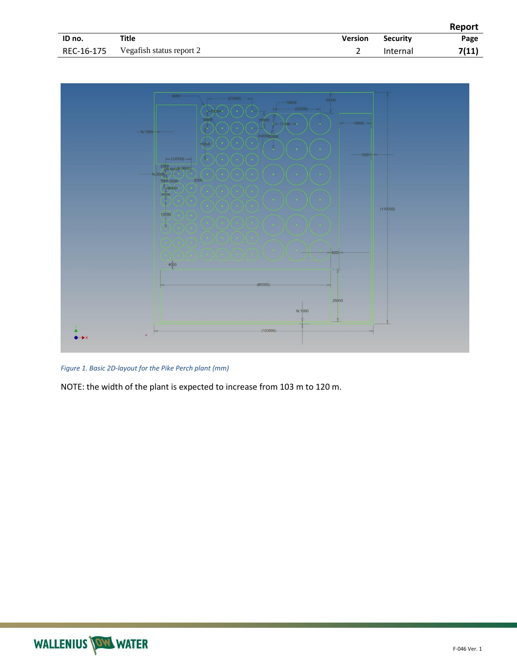|            |                          |                |                 | Report |
|------------|--------------------------|----------------|-----------------|--------|
| ID no.     | Title                    | <b>Version</b> | <b>Security</b> | Page   |
| REC-16-175 | Vegafish status report 2 |                | Internal        | 7(11)  |



*Figure 1. Basic 2D-layout for the Pike Perch plant (mm)*

NOTE: the width of the plant is expected to increase from 103 m to 120 m.

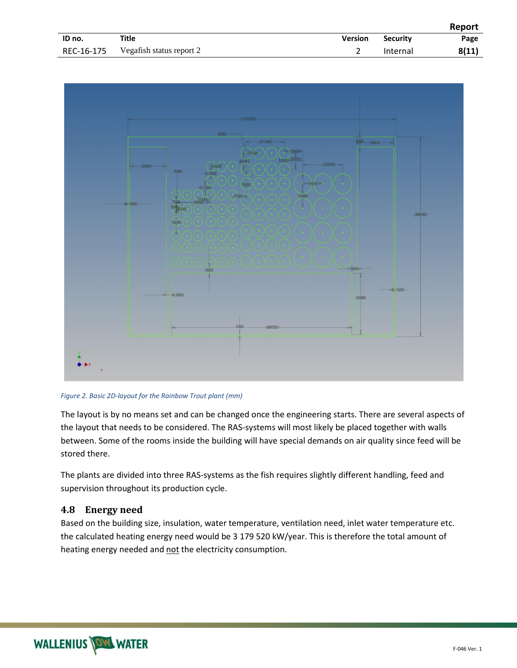|            |                          |                |          | Report |
|------------|--------------------------|----------------|----------|--------|
| ID no.     | <b>Title</b>             | <b>Version</b> | Security | Page   |
| REC-16-175 | Vegafish status report 2 |                | Internal | 8(11)  |



*Figure 2. Basic 2D-layout for the Rainbow Trout plant (mm)*

The layout is by no means set and can be changed once the engineering starts. There are several aspects of the layout that needs to be considered. The RAS-systems will most likely be placed together with walls between. Some of the rooms inside the building will have special demands on air quality since feed will be stored there.

The plants are divided into three RAS-systems as the fish requires slightly different handling, feed and supervision throughout its production cycle.

#### <span id="page-7-0"></span>**4.8 Energy need**

Based on the building size, insulation, water temperature, ventilation need, inlet water temperature etc. the calculated heating energy need would be 3 179 520 kW/year. This is therefore the total amount of heating energy needed and not the electricity consumption.

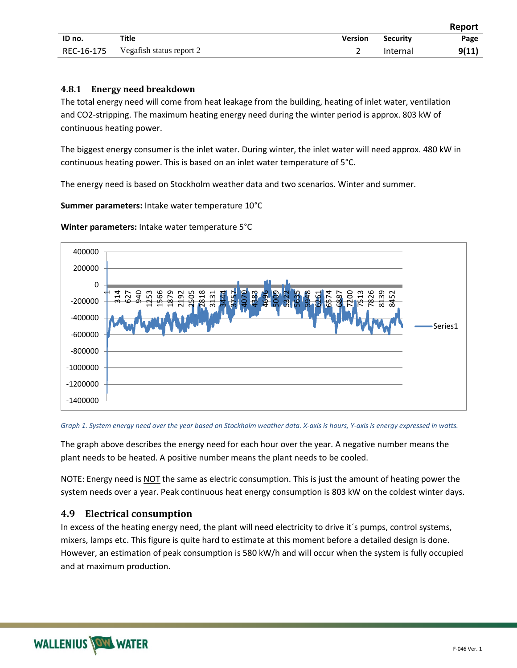|            |                          |                |                 | Report |
|------------|--------------------------|----------------|-----------------|--------|
| ID no.     | Title                    | <b>Version</b> | <b>Security</b> | Page   |
| REC-16-175 | Vegafish status report 2 |                | Internal        | 9(11)  |

#### <span id="page-8-0"></span>**4.8.1 Energy need breakdown**

The total energy need will come from heat leakage from the building, heating of inlet water, ventilation and CO2-stripping. The maximum heating energy need during the winter period is approx. 803 kW of continuous heating power.

The biggest energy consumer is the inlet water. During winter, the inlet water will need approx. 480 kW in continuous heating power. This is based on an inlet water temperature of 5°C.

The energy need is based on Stockholm weather data and two scenarios. Winter and summer.

**Summer parameters:** Intake water temperature 10°C



**Winter parameters:** Intake water temperature 5°C

#### *Graph 1. System energy need over the year based on Stockholm weather data. X-axis is hours, Y-axis is energy expressed in watts.*

The graph above describes the energy need for each hour over the year. A negative number means the plant needs to be heated. A positive number means the plant needs to be cooled.

NOTE: Energy need is NOT the same as electric consumption. This is just the amount of heating power the system needs over a year. Peak continuous heat energy consumption is 803 kW on the coldest winter days.

#### <span id="page-8-1"></span>**4.9 Electrical consumption**

In excess of the heating energy need, the plant will need electricity to drive it´s pumps, control systems, mixers, lamps etc. This figure is quite hard to estimate at this moment before a detailed design is done. However, an estimation of peak consumption is 580 kW/h and will occur when the system is fully occupied and at maximum production.

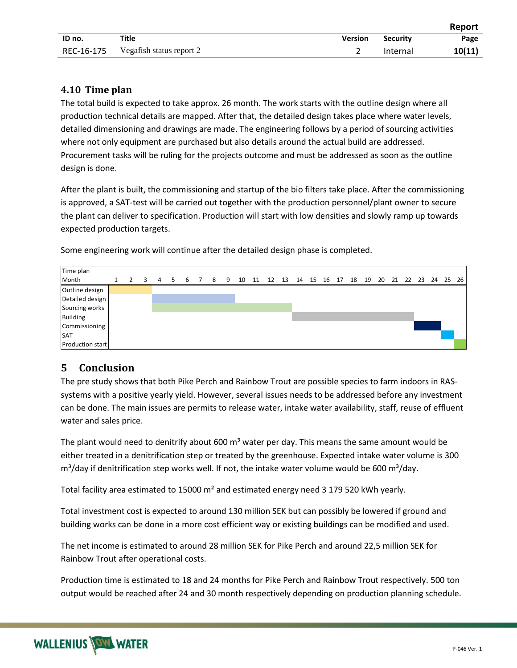|            |                          |                |          | Report |
|------------|--------------------------|----------------|----------|--------|
| ID no.     | Title                    | <b>Version</b> | Security | Page   |
| REC-16-175 | Vegafish status report 2 |                | Internal | 10(11) |

#### <span id="page-9-0"></span>**4.10 Time plan**

The total build is expected to take approx. 26 month. The work starts with the outline design where all production technical details are mapped. After that, the detailed design takes place where water levels, detailed dimensioning and drawings are made. The engineering follows by a period of sourcing activities where not only equipment are purchased but also details around the actual build are addressed. Procurement tasks will be ruling for the projects outcome and must be addressed as soon as the outline design is done.

After the plant is built, the commissioning and startup of the bio filters take place. After the commissioning is approved, a SAT-test will be carried out together with the production personnel/plant owner to secure the plant can deliver to specification. Production will start with low densities and slowly ramp up towards expected production targets.

Time plan Month 1 2 3 4 5 6 7 8 9 10 11 12 13 14 15 16 17 18 19 20 21 22 23 24 25 26 Outline design Detailed design Sourcing works Building Commissioning SAT Production start

Some engineering work will continue after the detailed design phase is completed.

#### <span id="page-9-1"></span>**5 Conclusion**

The pre study shows that both Pike Perch and Rainbow Trout are possible species to farm indoors in RASsystems with a positive yearly yield. However, several issues needs to be addressed before any investment can be done. The main issues are permits to release water, intake water availability, staff, reuse of effluent water and sales price.

The plant would need to denitrify about 600  $m<sup>3</sup>$  water per day. This means the same amount would be either treated in a denitrification step or treated by the greenhouse. Expected intake water volume is 300  $m<sup>3</sup>/day$  if denitrification step works well. If not, the intake water volume would be 600 m $<sup>3</sup>/day$ .</sup>

Total facility area estimated to 15000 m² and estimated energy need 3 179 520 kWh yearly.

Total investment cost is expected to around 130 million SEK but can possibly be lowered if ground and building works can be done in a more cost efficient way or existing buildings can be modified and used.

The net income is estimated to around 28 million SEK for Pike Perch and around 22,5 million SEK for Rainbow Trout after operational costs.

Production time is estimated to 18 and 24 months for Pike Perch and Rainbow Trout respectively. 500 ton output would be reached after 24 and 30 month respectively depending on production planning schedule.